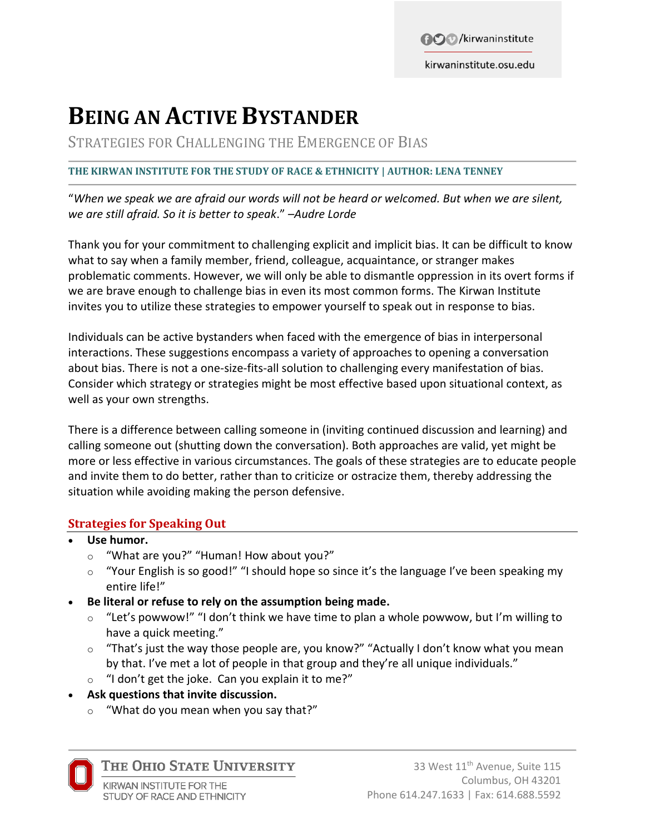**BO** /kirwaninstitute

kirwaninstitute.osu.edu

# **BEING AN ACTIVE BYSTANDER**

STRATEGIES FOR CHALLENGING THE EMERGENCE OF BIAS

#### **THE KIRWAN INSTITUTE FOR THE STUDY OF RACE & ETHNICITY | AUTHOR: LENA TENNEY**

"*When we speak we are afraid our words will not be heard or welcomed. But when we are silent, we are still afraid. So it is better to speak*." *–Audre Lorde* 

Thank you for your commitment to challenging explicit and implicit bias. It can be difficult to know what to say when a family member, friend, colleague, acquaintance, or stranger makes problematic comments. However, we will only be able to dismantle oppression in its overt forms if we are brave enough to challenge bias in even its most common forms. The Kirwan Institute invites you to utilize these strategies to empower yourself to speak out in response to bias.

Individuals can be active bystanders when faced with the emergence of bias in interpersonal interactions. These suggestions encompass a variety of approaches to opening a conversation about bias. There is not a one-size-fits-all solution to challenging every manifestation of bias. Consider which strategy or strategies might be most effective based upon situational context, as well as your own strengths.

There is a difference between calling someone in (inviting continued discussion and learning) and calling someone out (shutting down the conversation). Both approaches are valid, yet might be more or less effective in various circumstances. The goals of these strategies are to educate people and invite them to do better, rather than to criticize or ostracize them, thereby addressing the situation while avoiding making the person defensive.

#### **Strategies for Speaking Out**

- **Use humor.**
	- o "What are you?" "Human! How about you?"
	- o "Your English is so good!" "I should hope so since it's the language I've been speaking my entire life!"
- **Be literal or refuse to rely on the assumption being made.**
	- o "Let's powwow!" "I don't think we have time to plan a whole powwow, but I'm willing to have a quick meeting."
	- $\circ$  "That's just the way those people are, you know?" "Actually I don't know what you mean by that. I've met a lot of people in that group and they're all unique individuals."
	- $\circ$  "I don't get the joke. Can you explain it to me?"
- **Ask questions that invite discussion.**
	- o "What do you mean when you say that?"



THE OHIO STATE UNIVERSITY